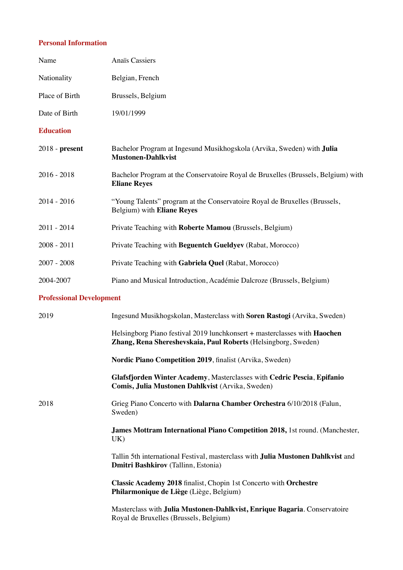## **Personal Information**

| Name                            | Anaïs Cassiers                                                                                                                              |
|---------------------------------|---------------------------------------------------------------------------------------------------------------------------------------------|
| Nationality                     | Belgian, French                                                                                                                             |
| Place of Birth                  | Brussels, Belgium                                                                                                                           |
| Date of Birth                   | 19/01/1999                                                                                                                                  |
| <b>Education</b>                |                                                                                                                                             |
| $2018$ - present                | Bachelor Program at Ingesund Musikhogskola (Arvika, Sweden) with Julia<br><b>Mustonen-Dahlkvist</b>                                         |
| $2016 - 2018$                   | Bachelor Program at the Conservatoire Royal de Bruxelles (Brussels, Belgium) with<br><b>Eliane Reyes</b>                                    |
| $2014 - 2016$                   | "Young Talents" program at the Conservatoire Royal de Bruxelles (Brussels,<br>Belgium) with Eliane Reyes                                    |
| $2011 - 2014$                   | Private Teaching with Roberte Mamou (Brussels, Belgium)                                                                                     |
| $2008 - 2011$                   | Private Teaching with Beguentch Gueldyev (Rabat, Morocco)                                                                                   |
| $2007 - 2008$                   | Private Teaching with Gabriela Quel (Rabat, Morocco)                                                                                        |
| 2004-2007                       | Piano and Musical Introduction, Académie Dalcroze (Brussels, Belgium)                                                                       |
| <b>Professional Development</b> |                                                                                                                                             |
| 2019                            | Ingesund Musikhogskolan, Masterclass with Soren Rastogi (Arvika, Sweden)                                                                    |
|                                 | Helsingborg Piano festival 2019 lunchkonsert + masterclasses with Haochen<br>Zhang, Rena Shereshevskaia, Paul Roberts (Helsingborg, Sweden) |
|                                 | Nordic Piano Competition 2019, finalist (Arvika, Sweden)                                                                                    |
|                                 | Glafsfjorden Winter Academy, Masterclasses with Cedric Pescia, Epifanio<br>Comis, Julia Mustonen Dahlkvist (Arvika, Sweden)                 |
| 2018                            | Grieg Piano Concerto with Dalarna Chamber Orchestra 6/10/2018 (Falun,<br>Sweden)                                                            |
|                                 | <b>James Mottram International Piano Competition 2018, 1st round. (Manchester,</b><br>UK)                                                   |
|                                 | Tallin 5th international Festival, masterclass with <b>Julia Mustonen Dahlkvist</b> and<br><b>Dmitri Bashkirov</b> (Tallinn, Estonia)       |
|                                 | Classic Academy 2018 finalist, Chopin 1st Concerto with Orchestre<br>Philarmonique de Liège (Liège, Belgium)                                |
|                                 | Masterclass with Julia Mustonen-Dahlkvist, Enrique Bagaria. Conservatoire<br>Royal de Bruxelles (Brussels, Belgium)                         |